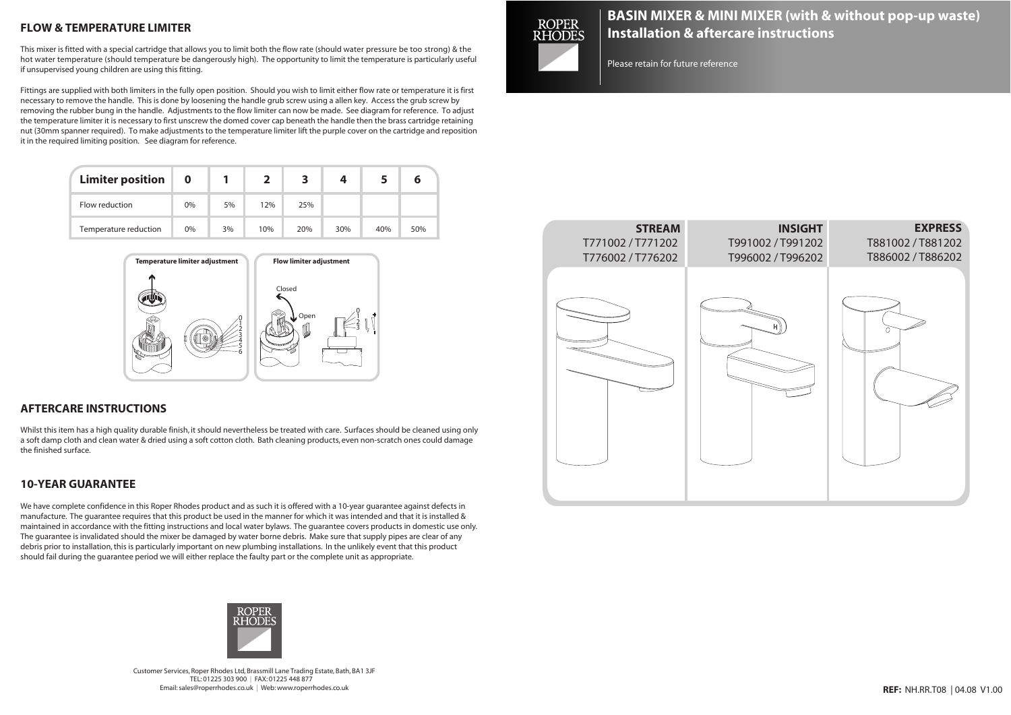# **FLOW & TEMPERATURE LIMITER**

This mixer is fitted with a special cartridge that allows you to limit both the flow rate (should water pressure be too strong) & the hot water temperature (should temperature be dangerously high). The opportunity to limit the temperature is particularly useful if unsupervised young children are using this fitting.

Fittings are supplied with both limiters in the fully open position. Should you wish to limit either flow rate or temperature it is first necessary to remove the handle. This is done by loosening the handle grub screw using a allen key. Access the grub screw by removing the rubber bung in the handle. Adjustments to the flow limiter can now be made. See diagram for reference. To adjust the temperature limiter it is necessary to first unscrew the domed cover cap beneath the handle then the brass cartridge retaining nut (30mm spanner required). To make adjustments to the temperature limiter lift the purple cover on the cartridge and reposition it in the required limiting position. See diagram for reference.

| <b>Limiter position</b> | 0  |    |     |     |     |     |     |
|-------------------------|----|----|-----|-----|-----|-----|-----|
| Flow reduction          | 0% | 5% | 12% | 25% |     |     |     |
| Temperature reduction   | 0% | 3% | 10% | 20% | 30% | 40% | 50% |



## **AFTERCARE INSTRUCTIONS**

Whilst this item has a high quality durable finish, it should nevertheless be treated with care. Surfaces should be cleaned using only a soft damp cloth and clean water & dried using a soft cotton cloth. Bath cleaning products, even non-scratch ones could damage the finished surface.

## **10-YEAR GUARANTEE**

We have complete confidence in this Roper Rhodes product and as such it is offered with a 10-year guarantee against defects in manufacture. The guarantee requires that this product be used in the manner for which it was intended and that it is installed & maintained in accordance with the fitting instructions and local water bylaws. The guarantee covers products in domestic use only. The guarantee is invalidated should the mixer be damaged by water borne debris. Make sure that supply pipes are clear of any debris prior to installation,this is particularly important on new plumbing installations. In the unlikely event that this product should fail during the guarantee period we will either replace the faulty part or the complete unit as appropriate.



Customer Services, Roper Rhodes Ltd, Brassmill Lane Trading Estate, Bath, BA1 3JF TEL: 01225 303 900 | FAX: 01225 448 877 Email:sales@roperrhodes.co.uk | Web:www.roperrhodes.co.uk



# **BASIN MIXER & MINI MIXER (with & without pop-up waste) Installation & aftercare instructions**

Please retain for future reference